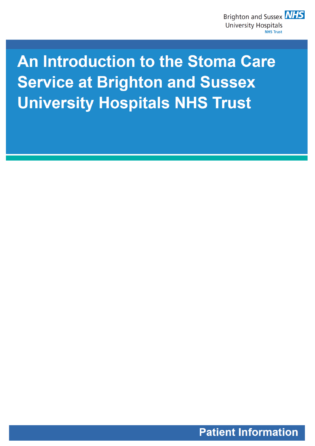# **An Introduction to the Stoma Care Service at Brighton and Sussex University Hospitals NHS Trust**

# **Patient Information**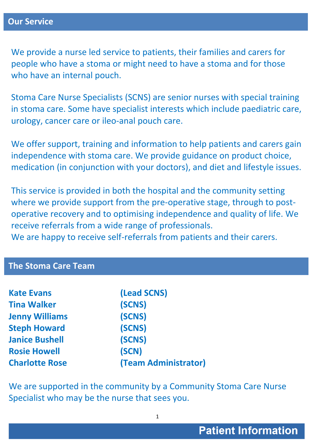We provide a nurse led service to patients, their families and carers for people who have a stoma or might need to have a stoma and for those who have an internal pouch.

Stoma Care Nurse Specialists (SCNS) are senior nurses with special training in stoma care. Some have specialist interests which include paediatric care, urology, cancer care or ileo-anal pouch care.

We offer support, training and information to help patients and carers gain independence with stoma care. We provide guidance on product choice, medication (in conjunction with your doctors), and diet and lifestyle issues.

This service is provided in both the hospital and the community setting where we provide support from the pre-operative stage, through to postoperative recovery and to optimising independence and quality of life. We receive referrals from a wide range of professionals.

We are happy to receive self-referrals from patients and their carers.

## **The Stoma Care Team**

| <b>Kate Evans</b>     | (Lead SCNS)          |
|-----------------------|----------------------|
| <b>Tina Walker</b>    | (SCNS)               |
| <b>Jenny Williams</b> | (SCNS)               |
| <b>Steph Howard</b>   | (SCNS)               |
| <b>Janice Bushell</b> | (SCNS)               |
| <b>Rosie Howell</b>   | (SCN)                |
| <b>Charlotte Rose</b> | (Team Administrator) |

We are supported in the community by a Community Stoma Care Nurse Specialist who may be the nurse that sees you.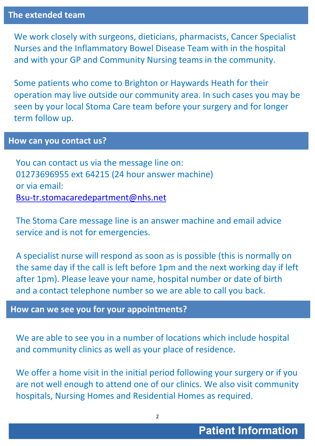### **The extended team**

We work closely with surgeons, dieticians, pharmacists, Cancer Specialist Nurses and the Inflammatory Bowel Disease Team with in the hospital and with your GP and Community Nursing teams in the community.

Some patients who come to Brighton or Haywards Heath for their operation may live outside our community area. In such cases you may be seen by your local Stoma Care team before your surgery and for longer term follow up.

### **How can you contact us?**

You can contact us via the message line on: 01273696955 ext 64215 (24 hour answer machine) or via email: [Bsu-tr.stomacaredepartment@nhs.net](mailto:Bsu-tr.stomacaredepartment@nhs.net)

The Stoma Care message line is an answer machine and email advice service and is not for emergencies.

A specialist nurse will respond as soon as is possible (this is normally on the same day if the call is left before 1pm and the next working day if left after 1pm). Please leave your name, hospital number or date of birth and a contact telephone number so we are able to call you back.

# **How can we see you for your appointments?**

We are able to see you in a number of locations which include hospital and community clinics as well as your place of residence.

We offer a home visit in the initial period following your surgery or if you are not well enough to attend one of our clinics. We also visit community hospitals, Nursing Homes and Residential Homes as required.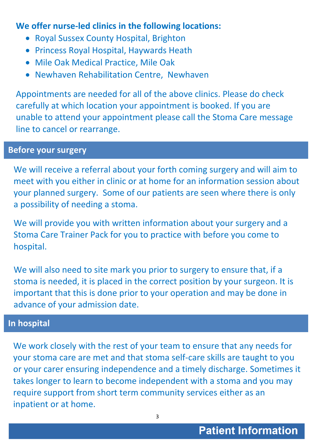# **We offer nurse-led clinics in the following locations:**

- Royal Sussex County Hospital, Brighton
- Princess Royal Hospital, Haywards Heath
- Mile Oak Medical Practice, Mile Oak
- Newhaven Rehabilitation Centre, Newhaven

Appointments are needed for all of the above clinics. Please do check carefully at which location your appointment is booked. If you are unable to attend your appointment please call the Stoma Care message line to cancel or rearrange.

# **Before your surgery**

We will receive a referral about your forth coming surgery and will aim to meet with you either in clinic or at home for an information session about your planned surgery. Some of our patients are seen where there is only a possibility of needing a stoma.

We will provide you with written information about your surgery and a Stoma Care Trainer Pack for you to practice with before you come to hospital.

We will also need to site mark you prior to surgery to ensure that, if a stoma is needed, it is placed in the correct position by your surgeon. It is important that this is done prior to your operation and may be done in advance of your admission date.

# **In hospital**

We work closely with the rest of your team to ensure that any needs for your stoma care are met and that stoma self-care skills are taught to you or your carer ensuring independence and a timely discharge. Sometimes it takes longer to learn to become independent with a stoma and you may require support from short term community services either as an inpatient or at home.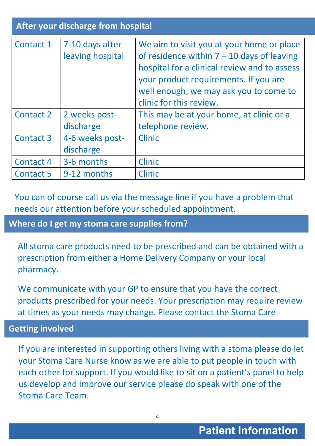| After your discharge from hospital |                                     |                                                                                                                                                                                                                                                         |
|------------------------------------|-------------------------------------|---------------------------------------------------------------------------------------------------------------------------------------------------------------------------------------------------------------------------------------------------------|
| Contact 1                          | 7-10 days after<br>leaving hospital | We aim to visit you at your home or place<br>of residence within $7 - 10$ days of leaving<br>hospital for a clinical review and to assess<br>your product requirements. If you are<br>well enough, we may ask you to come to<br>clinic for this review. |
| <b>Contact 2</b>                   | 2 weeks post-<br>discharge          | This may be at your home, at clinic or a<br>telephone review.                                                                                                                                                                                           |
| <b>Contact 3</b>                   | 4-6 weeks post-<br>discharge        | <b>Clinic</b>                                                                                                                                                                                                                                           |
| Contact 4                          | 3-6 months                          | <b>Clinic</b>                                                                                                                                                                                                                                           |
| <b>Contact 5</b>                   | 9-12 months                         | <b>Clinic</b>                                                                                                                                                                                                                                           |

You can of course call us via the message line if you have a problem that needs our attention before your scheduled appointment.

# **Where do I get my stoma care supplies from?**

All stoma care products need to be prescribed and can be obtained with a prescription from either a Home Delivery Company or your local pharmacy.

We communicate with your GP to ensure that you have the correct products prescribed for your needs. Your prescription may require review at times as your needs may change. Please contact the Stoma Care

#### Department if your product needs reviewing. **Getting involved**

If you are interested in supporting others living with a stoma please do let your Stoma Care Nurse know as we are able to put people in touch with each other for support. If you would like to sit on a patient's panel to help us develop and improve our service please do speak with one of the Stoma Care Team.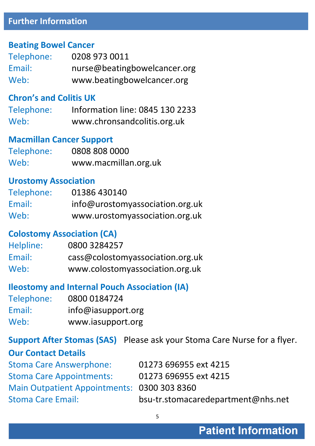# **Further Information**

# **Beating Bowel Cancer**

| Telephone: | 0208 973 0011                |
|------------|------------------------------|
| Email:     | nurse@beatingbowelcancer.org |
| Web:       | www.beatingbowelcancer.org   |

# **Chron's and Colitis UK**

| Telephone: | <b>Information line: 0845 130 2233</b> |
|------------|----------------------------------------|
| Web:       | www.chronsandcolitis.org.uk            |

# **Macmillan Cancer Support**

| Telephone: | 0808 808 0000        |
|------------|----------------------|
| Web:       | www.macmillan.org.uk |

# **Urostomy Association**

| Telephone: | 01386 430140                    |
|------------|---------------------------------|
| Email:     | info@urostomyassociation.org.uk |
| Web:       | www.urostomyassociation.org.uk  |

# **Colostomy Association (CA)**

| Helpline: | 0800 3284257                     |
|-----------|----------------------------------|
| Email:    | cass@colostomyassociation.org.uk |
| Web:      | www.colostomyassociation.org.uk  |

# **Ileostomy and Internal Pouch Association (IA)**

| Telephone: | 0800 0184724       |
|------------|--------------------|
| Email:     | info@iasupport.org |
| Web:       | www.iasupport.org  |

**Support After Stomas (SAS)** Please ask your Stoma Care Nurse for a flyer. **Our Contact Details** 

| <b>Stoma Care Answerphone:</b>              | 01273 696955 ext 4215              |
|---------------------------------------------|------------------------------------|
| <b>Stoma Care Appointments:</b>             | 01273 696955 ext 4215              |
| Main Outpatient Appointments: 0300 303 8360 |                                    |
| <b>Stoma Care Email:</b>                    | bsu-tr.stomacaredepartment@nhs.net |